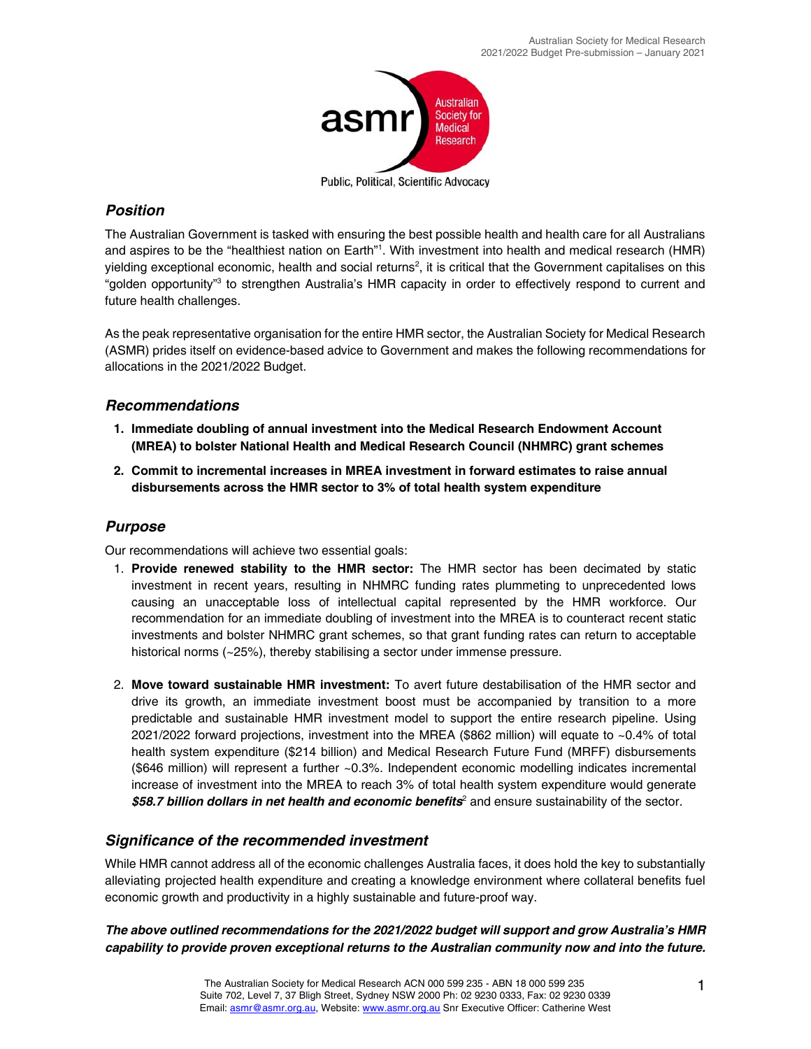

Public, Political, Scientific Advocacy

## *Position*

The Australian Government is tasked with ensuring the best possible health and health care for all Australians and aspires to be the "healthiest nation on Earth"1 . With investment into health and medical research (HMR) yielding exceptional economic, health and social returns<sup>2</sup>, it is critical that the Government capitalises on this "golden opportunity"<sup>3</sup> to strengthen Australia's HMR capacity in order to effectively respond to current and future health challenges.

As the peak representative organisation for the entire HMR sector, the Australian Society for Medical Research (ASMR) prides itself on evidence-based advice to Government and makes the following recommendations for allocations in the 2021/2022 Budget.

## *Recommendations*

- **1. Immediate doubling of annual investment into the Medical Research Endowment Account (MREA) to bolster National Health and Medical Research Council (NHMRC) grant schemes**
- **2. Commit to incremental increases in MREA investment in forward estimates to raise annual disbursements across the HMR sector to 3% of total health system expenditure**

## *Purpose*

Our recommendations will achieve two essential goals:

- 1. **Provide renewed stability to the HMR sector:** The HMR sector has been decimated by static investment in recent years, resulting in NHMRC funding rates plummeting to unprecedented lows causing an unacceptable loss of intellectual capital represented by the HMR workforce. Our recommendation for an immediate doubling of investment into the MREA is to counteract recent static investments and bolster NHMRC grant schemes, so that grant funding rates can return to acceptable historical norms (~25%), thereby stabilising a sector under immense pressure.
- 2. **Move toward sustainable HMR investment:** To avert future destabilisation of the HMR sector and drive its growth, an immediate investment boost must be accompanied by transition to a more predictable and sustainable HMR investment model to support the entire research pipeline. Using 2021/2022 forward projections, investment into the MREA (\$862 million) will equate to ~0.4% of total health system expenditure (\$214 billion) and Medical Research Future Fund (MRFF) disbursements (\$646 million) will represent a further ~0.3%. Independent economic modelling indicates incremental increase of investment into the MREA to reach 3% of total health system expenditure would generate \$58.7 billion dollars in net health and economic benefits<sup>2</sup> and ensure sustainability of the sector.

## *Significance of the recommended investment*

While HMR cannot address all of the economic challenges Australia faces, it does hold the key to substantially alleviating projected health expenditure and creating a knowledge environment where collateral benefits fuel economic growth and productivity in a highly sustainable and future-proof way.

*The above outlined recommendations for the 2021/2022 budget will support and grow Australia's HMR capability to provide proven exceptional returns to the Australian community now and into the future.*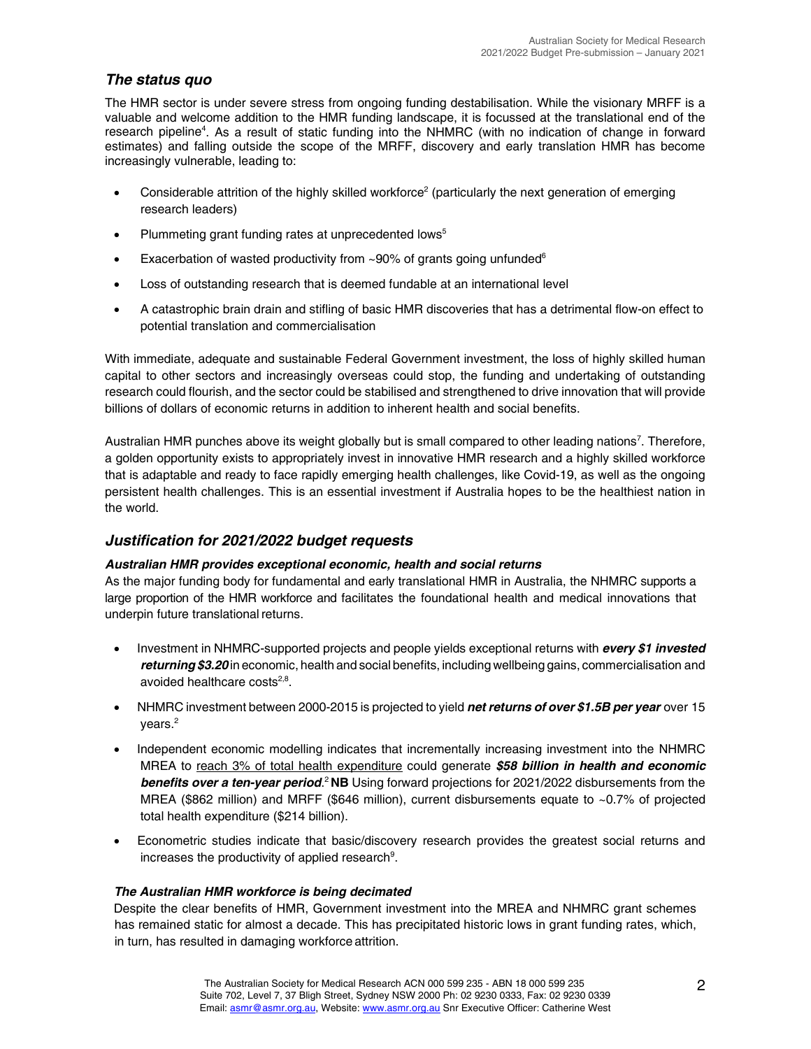## *The status quo*

The HMR sector is under severe stress from ongoing funding destabilisation. While the visionary MRFF is a valuable and welcome addition to the HMR funding landscape, it is focussed at the translational end of the research pipeline<sup>4</sup>. As a result of static funding into the NHMRC (with no indication of change in forward estimates) and falling outside the scope of the MRFF, discovery and early translation HMR has become increasingly vulnerable, leading to:

- Considerable attrition of the highly skilled workforce<sup>2</sup> (particularly the next generation of emerging research leaders)
- Plummeting grant funding rates at unprecedented lows<sup>5</sup>
- Exacerbation of wasted productivity from ~90% of grants going unfunded $6$
- Loss of outstanding research that is deemed fundable at an international level
- A catastrophic brain drain and stifling of basic HMR discoveries that has a detrimental flow-on effect to potential translation and commercialisation

With immediate, adequate and sustainable Federal Government investment, the loss of highly skilled human capital to other sectors and increasingly overseas could stop, the funding and undertaking of outstanding research could flourish, and the sector could be stabilised and strengthened to drive innovation that will provide billions of dollars of economic returns in addition to inherent health and social benefits.

Australian HMR punches above its weight globally but is small compared to other leading nations<sup>7</sup>. Therefore, a golden opportunity exists to appropriately invest in innovative HMR research and a highly skilled workforce that is adaptable and ready to face rapidly emerging health challenges, like Covid-19, as well as the ongoing persistent health challenges. This is an essential investment if Australia hopes to be the healthiest nation in the world.

# *Justification for 2021/2022 budget requests*

### *Australian HMR provides exceptional economic, health and social returns*

As the major funding body for fundamental and early translational HMR in Australia, the NHMRC supports a large proportion of the HMR workforce and facilitates the foundational health and medical innovations that underpin future translational returns.

- Investment in NHMRC-supported projects and people yields exceptional returns with **every \$1 invested** *returning \$3.20* in economic, health and social benefits, including wellbeing gains, commercialisation and avoided healthcare costs $2,8$ .
- NHMRC investment between 2000-2015 is projected to yield *net returns of over \$1.5B per year* over 15 vears.<sup>2</sup>
- Independent economic modelling indicates that incrementally increasing investment into the NHMRC MREA to reach 3% of total health expenditure could generate *\$58 billion in health and economic*  **benefits over a ten-year period.<sup>2</sup>NB** Using forward projections for 2021/2022 disbursements from the MREA (\$862 million) and MRFF (\$646 million), current disbursements equate to ~0.7% of projected total health expenditure (\$214 billion).
- Econometric studies indicate that basic/discovery research provides the greatest social returns and increases the productivity of applied research $9$ .

### *The Australian HMR workforce is being decimated*

Despite the clear benefits of HMR, Government investment into the MREA and NHMRC grant schemes has remained static for almost a decade. This has precipitated historic lows in grant funding rates, which, in turn, has resulted in damaging workforce attrition.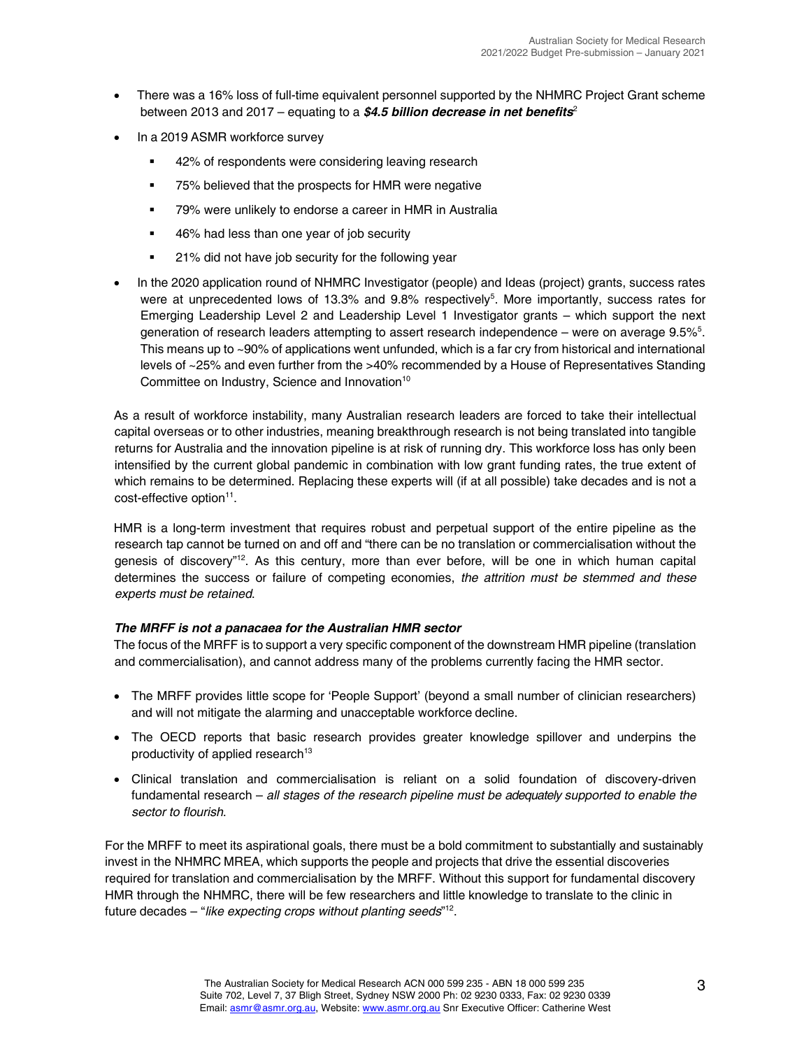- There was a 16% loss of full-time equivalent personnel supported by the NHMRC Project Grant scheme between 2013 and 2017 – equating to a *\$4.5 billion decrease in net benefits*<sup>2</sup>
- In a 2019 ASMR workforce survey
	- 42% of respondents were considering leaving research
	- 75% believed that the prospects for HMR were negative
	- 79% were unlikely to endorse a career in HMR in Australia
	- 46% had less than one year of job security
	- 21% did not have job security for the following year
- In the 2020 application round of NHMRC Investigator (people) and Ideas (project) grants, success rates were at unprecedented lows of 13.3% and 9.8% respectively<sup>5</sup>. More importantly, success rates for Emerging Leadership Level 2 and Leadership Level 1 Investigator grants – which support the next generation of research leaders attempting to assert research independence - were on average 9.5%<sup>5</sup>. This means up to ~90% of applications went unfunded, which is a far cry from historical and international levels of ~25% and even further from the >40% recommended by a House of Representatives Standing Committee on Industry, Science and Innovation<sup>10</sup>

As a result of workforce instability, many Australian research leaders are forced to take their intellectual capital overseas or to other industries, meaning breakthrough research is not being translated into tangible returns for Australia and the innovation pipeline is at risk of running dry. This workforce loss has only been intensified by the current global pandemic in combination with low grant funding rates, the true extent of which remains to be determined. Replacing these experts will (if at all possible) take decades and is not a cost-effective option<sup>11</sup>.

HMR is a long-term investment that requires robust and perpetual support of the entire pipeline as the research tap cannot be turned on and off and "there can be no translation or commercialisation without the genesis of discovery"<sup>12</sup>. As this century, more than ever before, will be one in which human capital determines the success or failure of competing economies, *the attrition must be stemmed and these experts must be retained*.

#### *The MRFF is not a panacaea for the Australian HMR sector*

The focus of the MRFF is to support a very specific component of the downstream HMR pipeline (translation and commercialisation), and cannot address many of the problems currently facing the HMR sector.

- The MRFF provides little scope for 'People Support' (beyond a small number of clinician researchers) and will not mitigate the alarming and unacceptable workforce decline.
- The OECD reports that basic research provides greater knowledge spillover and underpins the productivity of applied research<sup>13</sup>
- Clinical translation and commercialisation is reliant on a solid foundation of discovery-driven fundamental research – *all stages of the research pipeline must be adequately supported to enable the sector to flourish*.

For the MRFF to meet its aspirational goals, there must be a bold commitment to substantially and sustainably invest in the NHMRC MREA, which supports the people and projects that drive the essential discoveries required for translation and commercialisation by the MRFF. Without this support for fundamental discovery HMR through the NHMRC, there will be few researchers and little knowledge to translate to the clinic in future decades – "*like expecting crops without planting seeds*" 12.